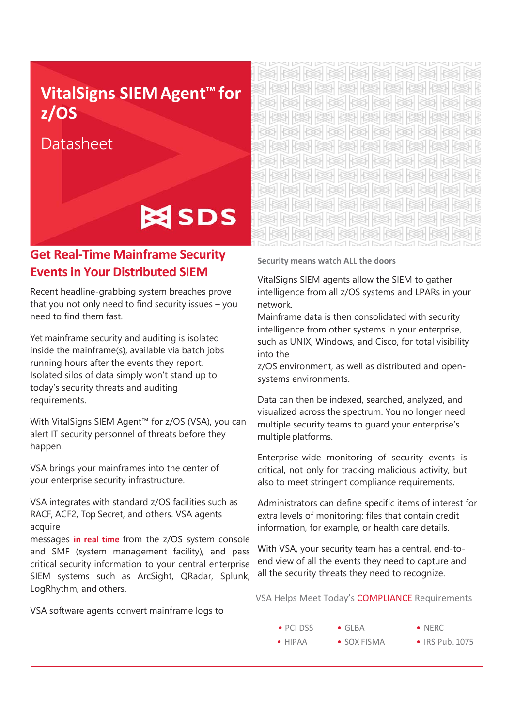# **VitalSigns SIEM Agent™ for z/OS**

Datasheet

# **ESS** SDS

## **Get Real-Time Mainframe Security Events in Your Distributed SIEM**

Recent headline-grabbing system breaches prove that you not only need to find security issues – you need to find them fast.

Yet mainframe security and auditing is isolated inside the mainframe(s), available via batch jobs running hours after the events they report. Isolated silos of data simply won't stand up to today's security threats and auditing requirements.

With VitalSigns SIEM Agent™ for z/OS (VSA), you can alert IT security personnel of threats before they happen.

VSA brings your mainframes into the center of your enterprise security infrastructure.

VSA integrates with standard z/OS facilities such as RACF, ACF2, Top Secret, and others. VSA agents acquire

messages **in real time** from the z/OS system console and SMF (system management facility), and pass critical security information to your central enterprise SIEM systems such as ArcSight, QRadar, Splunk, LogRhythm, and others.

VSA software agents convert mainframe logs to

syslog format for delivery to SIEM technologies or to  $\boxtimes$  the transference that  $\boxtimes$ RA BA BA BA BA BA 突出炎 经收入 医外科学 刻刻刻刻刻刻刻刻 多长头 经长期交易 医多 ISSH ISSH ISSH ISSH ISSH ISS

**Security means watch ALL the doors**

VitalSigns SIEM agents allow the SIEM to gather intelligence from all z/OS systems and LPARs in your network.

Mainframe data is then consolidated with security intelligence from other systems in your enterprise, such as UNIX, Windows, and Cisco, for total visibility into the

z/OS environment, as well as distributed and opensystems environments.

Data can then be indexed, searched, analyzed, and visualized across the spectrum. You no longer need multiple security teams to guard your enterprise's multiple platforms.

Enterprise-wide monitoring of security events is critical, not only for tracking malicious activity, but also to meet stringent compliance requirements.

Administrators can define specific items of interest for extra levels of monitoring: files that contain credit information, for example, or health care details.

With VSA, your security team has a central, end-toend view of all the events they need to capture and all the security threats they need to recognize.

VSA Helps Meet Today's COMPLIANCE Requirements

• GLBA

• PCI DSS

- NERC
- HIPAA • SOX FISMA
- IRS Pub. 1075